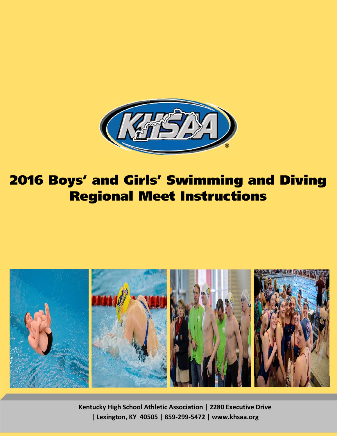

# 2016 Boys' and Girls' Swimming and Diving Regional Meet Instructions



**Kentucky High School Athletic Association | 2280 Executive Drive | Lexington, KY 40505 | 859‐299‐5472 | www.khsaa.org**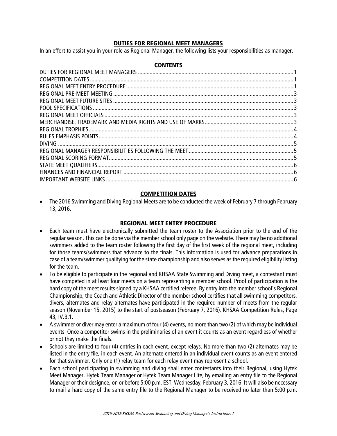# DUTIES FOR REGIONAL MEET MANAGERS

In an effort to assist you in your role as Regional Manager, the following lists your responsibilities as manager.

### **CONTENTS**

# COMPETITION DATES

 The 2016 Swimming and Diving Regional Meets are to be conducted the week of February 7 through February 13, 2016.

# REGIONAL MEET ENTRY PROCEDURE

- Each team must have electronically submitted the team roster to the Association prior to the end of the regular season. This can be done via the member school only page on the website. There may be no additional swimmers added to the team roster following the first day of the first week of the regional meet, including for those teams/swimmers that advance to the finals. This information is used for advance preparations in case of a team/swimmer qualifying for the state championship and also serves as the required eligibility listing for the team.
- To be eligible to participate in the regional and KHSAA State Swimming and Diving meet, a contestant must have competed in at least four meets on a team representing a member school. Proof of participation is the hard copy of the meet results signed by a KHSAA certified referee. By entry into the member school's Regional Championship, the Coach and Athletic Director of the member school certifies that all swimming competitors, divers, alternates and relay alternates have participated in the required number of meets from the regular season (November 15, 2015) to the start of postseason (February 7, 2016). KHSAA Competition Rules, Page 43, IV.B.1.
- A swimmer or diver may enter a maximum of four (4) events, no more than two (2) of which may be individual events. Once a competitor swims in the preliminaries of an event it counts as an event regardless of whether or not they make the finals.
- Schools are limited to four (4) entries in each event, except relays. No more than two (2) alternates may be listed in the entry file, in each event. An alternate entered in an individual event counts as an event entered for that swimmer. Only one (1) relay team for each relay event may represent a school.
- Each school participating in swimming and diving shall enter contestants into their Regional, using Hytek Meet Manager, Hytek Team Manager or Hytek Team Manager Lite, by emailing an entry file to the Regional Manager or their designee, on or before 5:00 p.m. EST, Wednesday, February 3, 2016. It will also be necessary to mail a hard copy of the same entry file to the Regional Manager to be received no later than 5:00 p.m.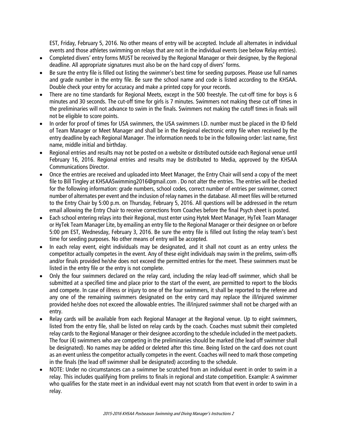EST, Friday, February 5, 2016. No other means of entry will be accepted. Include all alternates in individual events and those athletes swimming on relays that are not in the individual events (see below Relay entries).

- Completed divers' entry forms MUST be received by the Regional Manager or their designee, by the Regional deadline. All appropriate signatures must also be on the hard copy of divers' forms.
- Be sure the entry file is filled out listing the swimmer's best time for seeding purposes. Please use full names and grade number in the entry file. Be sure the school name and code is listed according to the KHSAA. Double check your entry for accuracy and make a printed copy for your records.
- There are no time standards for Regional Meets, except in the 500 freestyle. The cut-off time for boys is 6 minutes and 30 seconds. The cut-off time for girls is 7 minutes. Swimmers not making these cut off times in the preliminaries will not advance to swim in the finals. Swimmers not making the cutoff times in finals will not be eligible to score points.
- In order for proof of times for USA swimmers, the USA swimmers I.D. number must be placed in the ID field of Team Manager or Meet Manager and shall be in the Regional electronic entry file when received by the entry deadline by each Regional Manager. The information needs to be in the following order: last name, first name, middle initial and birthday.
- Regional entries and results may not be posted on a website or distributed outside each Regional venue until February 16, 2016. Regional entries and results may be distributed to Media, approved by the KHSAA Communications Director.
- Once the entries are received and uploaded into Meet Manager, the Entry Chair will send a copy of the meet file to Bill Tingley at KHSAASwimming2016@gmail.com . Do not alter the entries. The entries will be checked for the following information: grade numbers, school codes, correct number of entries per swimmer, correct number of alternates per event and the inclusion of relay names in the database. All meet files will be returned to the Entry Chair by 5:00 p.m. on Thursday, February 5, 2016. All questions will be addressed in the return email allowing the Entry Chair to receive corrections from Coaches before the final Psych sheet is posted.
- Each school entering relays into their Regional, must enter using Hytek Meet Manager, HyTek Team Manager or HyTek Team Manager Lite, by emailing an entry file to the Regional Manager or their designee on or before 5:00 pm EST, Wednesday, February 3, 2016. Be sure the entry file is filled out listing the relay team's best time for seeding purposes. No other means of entry will be accepted.
- In each relay event, eight individuals may be designated, and it shall not count as an entry unless the competitor actually competes in the event. Any of these eight individuals may swim in the prelims, swim-offs and/or finals provided he/she does not exceed the permitted entries for the meet. These swimmers must be listed in the entry file or the entry is not complete.
- Only the four swimmers declared on the relay card, including the relay lead-off swimmer, which shall be submitted at a specified time and place prior to the start of the event, are permitted to report to the blocks and compete. In case of illness or injury to one of the four swimmers, it shall be reported to the referee and any one of the remaining swimmers designated on the entry card may replace the ill/injured swimmer provided he/she does not exceed the allowable entries. The ill/injured swimmer shall not be charged with an entry.
- Relay cards will be available from each Regional Manager at the Regional venue. Up to eight swimmers, listed from the entry file, shall be listed on relay cards by the coach. Coaches must submit their completed relay cards to the Regional Manager or their designee according to the schedule included in the meet packets. The four (4) swimmers who are competing in the preliminaries should be marked (the lead off swimmer shall be designated). No names may be added or deleted after this time. Being listed on the card does not count as an event unless the competitor actually competes in the event. Coaches will need to mark those competing in the finals (the lead off swimmer shall be designated) according to the schedule.
- NOTE: Under no circumstances can a swimmer be scratched from an individual event in order to swim in a relay. This includes qualifying from prelims to finals in regional and state competition. Example: A swimmer who qualifies for the state meet in an individual event may not scratch from that event in order to swim in a relay.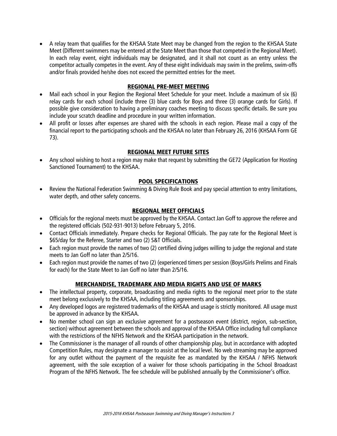A relay team that qualifies for the KHSAA State Meet may be changed from the region to the KHSAA State Meet (Different swimmers may be entered at the State Meet than those that competed in the Regional Meet). In each relay event, eight individuals may be designated, and it shall not count as an entry unless the competitor actually competes in the event. Any of these eight individuals may swim in the prelims, swim-offs and/or finals provided he/she does not exceed the permitted entries for the meet.

### REGIONAL PRE-MEET MEETING

- Mail each school in your Region the Regional Meet Schedule for your meet. Include a maximum of six (6) relay cards for each school (include three (3) blue cards for Boys and three (3) orange cards for Girls). If possible give consideration to having a preliminary coaches meeting to discuss specific details. Be sure you include your scratch deadline and procedure in your written information.
- All profit or losses after expenses are shared with the schools in each region. Please mail a copy of the financial report to the participating schools and the KHSAA no later than February 26, 2016 (KHSAA Form GE 73).

# REGIONAL MEET FUTURE SITES

 Any school wishing to host a region may make that request by submitting the GE72 (Application for Hosting Sanctioned Tournament) to the KHSAA.

# POOL SPECIFICATIONS

 Review the National Federation Swimming & Diving Rule Book and pay special attention to entry limitations, water depth, and other safety concerns.

### REGIONAL MEET OFFICIALS

- Officials for the regional meets must be approved by the KHSAA. Contact Jan Goff to approve the referee and the registered officials (502-931-9013) before February 5, 2016.
- Contact Officials immediately. Prepare checks for Regional Officials. The pay rate for the Regional Meet is \$65/day for the Referee, Starter and two (2) S&T Officials.
- Each region must provide the names of two (2) certified diving judges willing to judge the regional and state meets to Jan Goff no later than 2/5/16.
- Each region must provide the names of two (2) (experienced timers per session (Boys/Girls Prelims and Finals for each) for the State Meet to Jan Goff no later than 2/5/16.

# MERCHANDISE, TRADEMARK AND MEDIA RIGHTS AND USE OF MARKS

- The intellectual property, corporate, broadcasting and media rights to the regional meet prior to the state meet belong exclusively to the KHSAA, including titling agreements and sponsorships.
- Any developed logos are registered trademarks of the KHSAA and usage is strictly monitored. All usage must be approved in advance by the KHSAA.
- No member school can sign an exclusive agreement for a postseason event (district, region, sub-section, section) without agreement between the schools and approval of the KHSAA Office including full compliance with the restrictions of the NFHS Network and the KHSAA participation in the network.
- The Commissioner is the manager of all rounds of other championship play, but in accordance with adopted Competition Rules, may designate a manager to assist at the local level. No web streaming may be approved for any outlet without the payment of the requisite fee as mandated by the KHSAA / NFHS Network agreement, with the sole exception of a waiver for those schools participating in the School Broadcast Program of the NFHS Network. The fee schedule will be published annually by the Commissioner's office.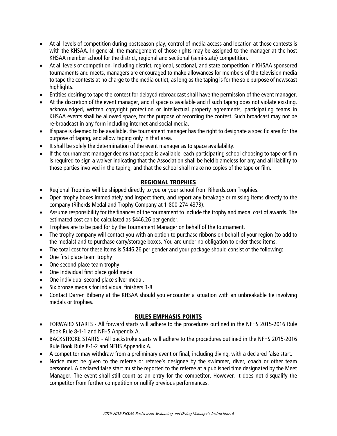- At all levels of competition during postseason play, control of media access and location at those contests is with the KHSAA. In general, the management of those rights may be assigned to the manager at the host KHSAA member school for the district, regional and sectional (semi-state) competition.
- At all levels of competition, including district, regional, sectional, and state competition in KHSAA sponsored tournaments and meets, managers are encouraged to make allowances for members of the television media to tape the contests at no charge to the media outlet, as long as the taping is for the sole purpose of newscast highlights.
- Entities desiring to tape the contest for delayed rebroadcast shall have the permission of the event manager.
- At the discretion of the event manager, and if space is available and if such taping does not violate existing, acknowledged, written copyright protection or intellectual property agreements, participating teams in KHSAA events shall be allowed space, for the purpose of recording the contest. Such broadcast may not be re-broadcast in any form including internet and social media.
- If space is deemed to be available, the tournament manager has the right to designate a specific area for the purpose of taping, and allow taping only in that area.
- It shall be solely the determination of the event manager as to space availability.
- If the tournament manager deems that space is available, each participating school choosing to tape or film is required to sign a waiver indicating that the Association shall be held blameless for any and all liability to those parties involved in the taping, and that the school shall make no copies of the tape or film.

# REGIONAL TROPHIES

- Regional Trophies will be shipped directly to you or your school from Riherds.com Trophies.
- Open trophy boxes immediately and inspect them, and report any breakage or missing items directly to the company (Riherds Medal and Trophy Company at 1-800-274-4373).
- Assume responsibility for the finances of the tournament to include the trophy and medal cost of awards. The estimated cost can be calculated as \$446.26 per gender.
- Trophies are to be paid for by the Tournament Manager on behalf of the tournament.
- The trophy company will contact you with an option to purchase ribbons on behalf of your region (to add to the medals) and to purchase carry/storage boxes. You are under no obligation to order these items.
- The total cost for these items is \$446.26 per gender and your package should consist of the following:
- One first place team trophy
- One second place team trophy
- One Individual first place gold medal
- One individual second place silver medal.
- Six bronze medals for individual finishers 3-8
- Contact Darren Bilberry at the KHSAA should you encounter a situation with an unbreakable tie involving medals or trophies.

### RULES EMPHASIS POINTS

- FORWARD STARTS All forward starts will adhere to the procedures outlined in the NFHS 2015-2016 Rule Book Rule 8-1-1 and NFHS Appendix A.
- BACKSTROKE STARTS All backstroke starts will adhere to the procedures outlined in the NFHS 2015-2016 Rule Book Rule 8-1-2 and NFHS Appendix A.
- A competitor may withdraw from a preliminary event or final, including diving, with a declared false start.
- Notice must be given to the referee or referee's designee by the swimmer, diver, coach or other team personnel. A declared false start must be reported to the referee at a published time designated by the Meet Manager. The event shall still count as an entry for the competitor. However, it does not disqualify the competitor from further competition or nullify previous performances.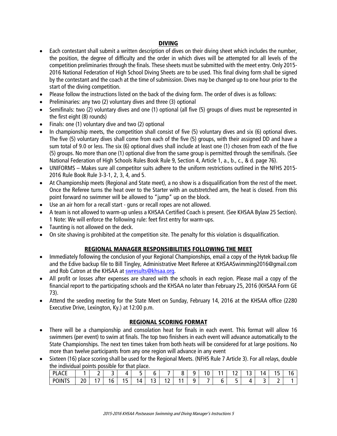# DIVING

- Each contestant shall submit a written description of dives on their diving sheet which includes the number, the position, the degree of difficulty and the order in which dives will be attempted for all levels of the competition preliminaries through the finals. These sheets must be submitted with the meet entry. Only 2015- 2016 National Federation of High School Diving Sheets are to be used. This final diving form shall be signed by the contestant and the coach at the time of submission. Dives may be changed up to one hour prior to the start of the diving competition.
- Please follow the instructions listed on the back of the diving form. The order of dives is as follows:
- Preliminaries: any two (2) voluntary dives and three (3) optional
- Semifinals: two (2) voluntary dives and one (1) optional (all five (5) groups of dives must be represented in the first eight (8) rounds)
- Finals: one (1) voluntary dive and two (2) optional
- In championship meets, the competition shall consist of five (5) voluntary dives and six (6) optional dives. The five (5) voluntary dives shall come from each of the five (5) groups, with their assigned DD and have a sum total of 9.0 or less. The six (6) optional dives shall include at least one (1) chosen from each of the five (5) groups. No more than one (1) optional dive from the same group is permitted through the semifinals. (See National Federation of High Schools Rules Book Rule 9, Section 4, Article 1, a., b., c., & d. page 76).
- UNIFORMS Makes sure all competitor suits adhere to the uniform restrictions outlined in the NFHS 2015- 2016 Rule Book Rule 3-3-1, 2, 3, 4, and 5.
- At Championship meets (Regional and State meet), a no show is a disqualification from the rest of the meet. Once the Referee turns the heat over to the Starter with an outstretched arm, the heat is closed. From this point forward no swimmer will be allowed to "jump" up on the block.
- Use an air horn for a recall start guns or recall ropes are not allowed.
- A team is not allowed to warm-up unless a KHSAA Certified Coach is present. (See KHSAA Bylaw 25 Section). 1 Note: We will enforce the following rule: feet first entry for warm-ups.
- Taunting is not allowed on the deck.
- On site shaving is prohibited at the competition site. The penalty for this violation is disqualification.

# REGIONAL MANAGER RESPONSIBILITIES FOLLOWING THE MEET

- Immediately following the conclusion of your Regional Championships, email a copy of the Hytek backup file and the Edive backup file to Bill Tingley, Administrative Meet Referee at KHSAASwimming2016@gmail.com and Rob Catron at the KHSAA at swresults@khsaa.org.
- All profit or losses after expenses are shared with the schools in each region. Please mail a copy of the financial report to the participating schools and the KHSAA no later than February 25, 2016 (KHSAA Form GE 73).
- Attend the seeding meeting for the State Meet on Sunday, February 14, 2016 at the KHSAA office (2280 Executive Drive, Lexington, Ky.) at 12:00 p.m.

# REGIONAL SCORING FORMAT

- There will be a championship and consolation heat for finals in each event. This format will allow 16 swimmers (per event) to swim at finals. The top two finishers in each event will advance automatically to the State Championships. The next ten times taken from both heats will be considered for at large positions. No more than twelve participants from any one region will advance in any event
- Sixteen (16) place scoring shall be used for the Regional Meets. (NFHS Rule 7 Article 3). For all relays, double the individual points possible for that place.

| <b>PLACL</b><br>_________ |          | - | . .              |                 |   |          |        |     | ۰. | $\sim$<br>v |   | $\sim$<br>. <u>.</u> | . .<br>. . | '4 | -<br><br>. . | $\overline{\phantom{a}}$<br>או |
|---------------------------|----------|---|------------------|-----------------|---|----------|--------|-----|----|-------------|---|----------------------|------------|----|--------------|--------------------------------|
| <b>POINTS</b>             | วก<br>∠∪ | - | $\epsilon$<br>١b | -<br>. .<br>. . | 4 | -<br>. . | -<br>- | . . | ۰. | -           | ັ | -<br>۔               |            |    | -            |                                |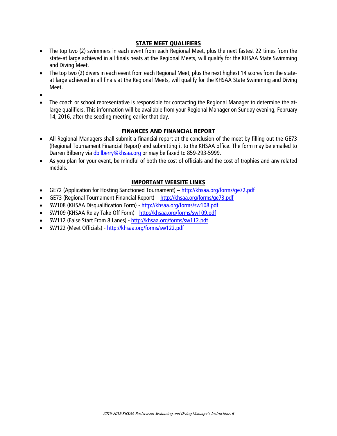# STATE MEET QUALIFIERS

- The top two (2) swimmers in each event from each Regional Meet, plus the next fastest 22 times from the state-at large achieved in all finals heats at the Regional Meets, will qualify for the KHSAA State Swimming and Diving Meet.
- The top two (2) divers in each event from each Regional Meet, plus the next highest 14 scores from the stateat large achieved in all finals at the Regional Meets, will qualify for the KHSAA State Swimming and Diving Meet.
- $\bullet$
- The coach or school representative is responsible for contacting the Regional Manager to determine the atlarge qualifiers. This information will be available from your Regional Manager on Sunday evening, February 14, 2016, after the seeding meeting earlier that day.

# FINANCES AND FINANCIAL REPORT

- All Regional Managers shall submit a financial report at the conclusion of the meet by filling out the GE73 (Regional Tournament Financial Report) and submitting it to the KHSAA office. The form may be emailed to Darren Bilberry via dbilberry@khsaa.org or may be faxed to 859-293-5999.
- As you plan for your event, be mindful of both the cost of officials and the cost of trophies and any related medals.

# IMPORTANT WEBSITE LINKS

- GE72 (Application for Hosting Sanctioned Tournament) http://khsaa.org/forms/ge72.pdf
- GE73 (Regional Tournament Financial Report) http://khsaa.org/forms/ge73.pdf
- SW108 (KHSAA Disqualification Form) http://khsaa.org/forms/sw108.pdf
- SW109 (KHSAA Relay Take Off Form) http://khsaa.org/forms/sw109.pdf
- SW112 (False Start From 8 Lanes) http://khsaa.org/forms/sw112.pdf
- SW122 (Meet Officials) http://khsaa.org/forms/sw122.pdf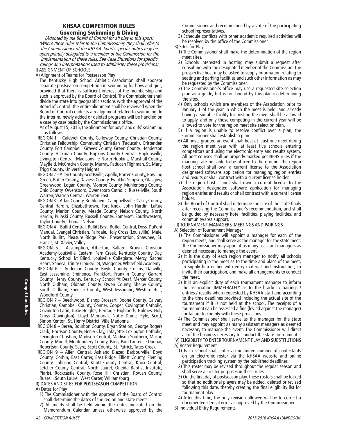### KHSAA COMPETITION RULES Governing Swimming & Diving

(Adopted by the Board of Control for all play in this sport) (Where these rules refer to the Commissioner, they shall refer to the Commissioner of the KHSAA. Sports specific duties may be appropriately delegated to a member of the Commission for the implementation of these rules. See Case Situations for specific rulings and interpretations used to administer these provisions) I) ASSIGNMENT OF SCHOOLS

A) Alignment of Teams for Postseason Play

The Kentucky High School Athletic Association shall sponsor separate postseason competition in swimming for boys and girls, provided that there is sufficient interest of the membership and such is approved by the Board of Control. The Commissioner shall divide the state into geographic sections with the approval of the Board of Control. The entire alignment shall be reviewed when the Board of Control conducts a realignment related to swimming. In the interim, newly added or deleted programs will be handled on a case by case basis by the Commissioner's office.

As of August 15, 2015, the alignment for boys' and girls' swimming is as follows:

- REGION 1 Caldwell County, Calloway County, Christian County, Christian Fellowship, Community Christian (Paducah), Crittenden County, Fort Campbell, Graves County, Green County, Henderson County, Hickman County, Hopkins County Central, Hopkinsville, Livingston Central, Madisonville-North Hopkins, Marshall County, Mayfield, McCracken County, Murray, Paducah Tilghman, St. Mary, Trigg County, University Heights
- REGION 2 Allen County-Scottsville, Apollo, Barren County, Bowling Green, Butler County, Daviess County, Franklin-Simpson, Glasgow, Greenwood, Logan County, Monroe County, Muhlenberg County, Ohio County, Owensboro, Owensboro Catholic, Russellville, South Warren, Warren Central, Warren East
- REGION 3 Adair County, Bethlehem, Campbellsville, Casey County, Central Hardin, Elizabethtown, Fort Knox, John Hardin, LaRue County, Marion County, Meade County, Nelson County, North Hardin, Pulaski County, Russell County, Somerset, Southwestern, Taylor County, Thomas Nelson
- REGION 4 Bullitt Central, Bullitt East, Butler, Central, Doss, DuPont Manual, Evangel Christian, Fairdale, Holy Cross (Louisville), Male, North Bullitt, Pleasure Ridge Park, Presentation, Shawnee, St. Francis, St. Xavier, Valley
- REGION 5 Assumption, Atherton, Ballard, Brown, Christian Academy-Louisville, Eastern, Fern Creek, Kentucky Country Day, Kentucky School f/t Blind, Louisville Collegiate, Mercy, Sacred Heart, Seneca, Trinity (Louisville), Waggener, Whitefield Academy
- REGION 6 Anderson County, Boyle County, Collins, Danville, East Jessamine, Eminence, Frankfort, Franklin County, Garrard County, Henry County, Kentucky School f/t Deaf, Mercer County, North Oldham, Oldham County, Owen County, Shelby County, South Oldham, Spencer County, West Jessamine, Western Hills, Woodford County
- REGION 7 Beechwood, Bishop Brossart, Boone County, Calvary Christian, Campbell County, Conner, Cooper, Covington Catholic, Covington Latin, Dixie Heights, Heritage, Highlands, Holmes, Holy Cross (Covington), Lloyd Memorial, Notre Dame, Ryle, Scott, Simon Kenton, St. Henry District, Villa Madonna
- REGION 8 Berea, Bourbon County, Bryan Station, George Rogers Clark, Harrison County, Henry Clay, Lafayette, Lexington Catholic, Lexington Christian, Madison Central, Madison Southern, Mason County, Model, Montgomery County, Paris, Paul Laurence Dunbar, Robertson County, Sayre, Scott County, St. Patrick, Tates Creek
- REGION 9 Allen Central, Ashland Blazer, Barbourville, Boyd County, Corbin, East Carter, East Ridge, Elliott County, Fleming County, Johnson Central, Knott County Central, Knox Central, Letcher County Central, North Laurel, Oneida Baptist Institute, Piarist, Rockcastle County, Rose Hill Christian, Rowan County, Russell, South Laurel, West Carter, Williamsburg

II) DATES AND SITES FOR POSTSEASON COMPETITION

#### A) Dates for Play

- 1) The Commissioner with the approval of the Board of Control shall determine the dates of the region and state meets.
- 2) All meets shall be held within the dates indicated on the Memorandum Calendar unless otherwise approved by the

Commissioner and recommended by a vote of the participating school representatives.

- 3) Schedule conflicts with other academic required activities will be resolved by the office of the Commissioner.
- B) Sites for Play
	- 1) The Commissioner shall make the determination of the region meet sites.
	- 2) Schools interested in hosting may submit a request after consulting with the designated member of the Commission. The prospective host may be asked to supply information relating to seating and parking facilities and such other information as may be requested by the Commissioner.
	- 3) The Commissioner's office may use a requested site selection plan as a guide, but is not bound by this plan in determining the sites.
	- 4) Only schools which are members of the Association prior to January 1 of the year in which the meet is held, and already having a suitable facility for hosting the meet shall be allowed to apply, and only those competing in the current year will be allowed to vote for the region meet site selection plan.
	- 5) If a region is unable to resolve conflict over a plan, the Commissioner shall establish a plan.
	- 6) All hosts granted an event shall host at least one meet during the region meet year with at least five schools entering competitors and using the electronic entry and results system. All host courses shall be properly marked per NFHS rules if the markings are not able to be affixed to the ground. The region host school shall own a current license to the Association designated software application for managing region entries and results or shall contract with a current license holder.
	- 7) The region host school shall own a current license to the Association designated software application for managing region entries and results or shall contract with a current license holder.
	- 8) The Board of Control shall determine the site of the state finals after receiving the Commissioner's recommendation, and shall be guided by necessary hotel facilities, playing facilities, and community/area support.

#### III) TOURNAMENT MANAGERS, MEETINGS AND PAIRINGS

A) Selection of Tournament Manager

- 1) The Commissioner will appoint a manager for each of the region meets, and shall serve as the manager for the state meet. The Commissioner may appoint as many assistant managers as deemed necessary to manage the event.
- 2) It is the duty of each region manager to notify all schools participating in the meet as to the time and place of the meet, to supply him or her with entry material and instructions, to invite their participation, and make all arrangements to conduct the meet.
- 3) It is an explicit duty of each tournament manager to inform the association IMMEDIATELY as to the bracket / pairings / entries / results when requested by KHSAA staff and according to the time deadlines provided including the actual site of the tournament if it is not held at the school. The receipts of a tournament can be assessed a fine (levied against the manager) for failure to comply with these provisions.
- 4) The Commissioner shall serve as the manager for the state meet and may appoint as many assistant managers as deemed necessary to manage the event. The Commissioner will direct all of the business necessary to conduct the state tournament.

IV) ELIGIBILITY TO ENTER TOURNAMENT PLAY AND SUBSTITUTIONS A) Roster Requirement

- 1) Each school shall enter an unlimited number of contestants on an electronic roster via the KHSAA website and online participation tracking system by the published deadlines.
- 2) This roster may be revised throughout the regular season and shall serve all roster purposes in these rules.
- 3) On the first day of postseason play, these rosters shall be locked so that no additional players may be added, deleted or revised following this date, thereby creating the final eligibility list for tournament play.
- 4) After this time, the only revision allowed will be to correct a documented clerical error as approved by the Commissioner.
- B) Individual Entry Requirements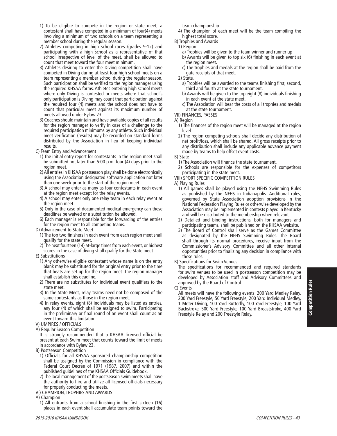- 1) To be eligible to compete in the region or state meet, a contestant shall have competed in a minimum of four(4) meets involving a minimum of two schools on a team representing a member school during the regular season.
- 2) Athletes competing in high school races (grades 9-12) and participating with a high school as a representative of that school irrespective of level of the meet, shall be allowed to count that meet toward the four meet minimum.
- 3) Athletes desiring to enter the Diving competition shall have competed in Diving during at least four high school meets on a team representing a member school during the regular season. Such participation shall be verified to the region manager using the required KHSAA forms. Athletes entering high school meets where only Diving is contested or meets where that school's only participation is Diving may count that participation against the required four (4) meets and the school does not have to count that particular meet against its maximum number of meets allowed under Bylaw 23.
- 3) Coaches should maintain and have available copies of all results for the region manager to verify in case of a challenge to the required participation minimums by any athlete. Such individual meet verification (results) may be recorded on standard forms distributed by the Association in lieu of keeping individual results.
- C) Team Entry and Advancement
	- 1) The initial entry report for contestants in the region meet shall be submitted not later than 5:00 p.m. four (4) days prior to the region meet.
- 2) All entries in KHSAA postseason play shall be done electronically using the Association designated software application not later than one week prior to the start of the region meet.
- 3) A school may enter as many as four contestants in each event at the region meet except for the relay events.
- 4) A school may enter only one relay team in each relay event at the region meet.
- 5) Only in the case of documented medical emergency can these deadlines be waived or a substitution be allowed.
- 6) Each manager is responsible for the forwarding of the entries for the region meet to all competing teams.
- D) Advancement to State Meet
	- 1) The top two finishers in each event from each region meet shall qualify for the state meet.
- 2) The next fourteen (14) at-large times from each event, or highest scores in the case of diving shall qualify for the State meet.
- E) Substitutions
	- 1) Any otherwise eligible contestant whose name is on the entry blank may be substituted for the original entry prior to the time that heats are set up for the region meet. The region manager shall establish this deadline.
	- 2) There are no substitutes for individual event qualifiers to the state meet.
- 3) In the State Meet, relay teams need not be composed of the same contestants as those in the region meet.
- 4) In relay events, eight (8) individuals may be listed as entries, any four (4) of which shall be assigned to swim. Participating in the preliminary or final round of an event shall count as an event toward this limitation.
- V) UMPIRES / OFFICIALS
- A) Regular Season Competition
- It is strongly recommended that a KHSAA licensed official be present at each Swim meet that counts toward the limit of meets in accordance with Bylaw 23.
- B) Postseason Competition
- 1) Officials for all KHSAA sponsored championship competition shall be assigned by the Commission in compliance with the Federal Court Decree of 1971 (1987, 2007) and within the published guidelines of the KHSAA Officials Guidebook.
- 2) The local management of the postseason swim meets shall have the authority to hire and utilize all licensed officials necessary for properly conducting the meets.
- VI) CHAMPION, TROPHIES AND AWARDS
- A) Champion
- 1) All entrants from a school finishing in the first sixteen (16) places in each event shall accumulate team points toward the

team championship.

- 4) The champion of each meet will be the team compiling the highest total score.
- B) Trophies and Awards
- 1) Region.
	- a) Trophies will be given to the team winner and runner-up .
	- b) Awards will be given to top six (6) finishing in each event at the region meet.
	- c) The trophies and medals at the region shall be paid from the gate receipts of that meet.
- 2) State.
	- a) Trophies will be awarded to the teams finishing first, second, third and fourth at the state tournament.
	- b) Awards will be given to the top eight (8) individuals finishing in each event at the state meet.
	- c) The Association will bear the costs of all trophies and medals at the state tournament.
- VII) FINANCES, PASSES

### A) Region

- 1) The finances of the region meet will be managed at the region level.
- 2) The region competing schools shall decide any distribution of net profit/loss, which shall be shared. All gross receipts prior to any distribution shall include any applicable advance payment made by teams to help offset event costs.
- B) State
- 1) The Association will finance the state tournament.
- 2) Schools are responsible for the expenses of competitors participating in the state meet.
- VIII) SPORT SPECIFIC COMPETITION RULES
- A) Playing Rules
	- 1) All games shall be played using the NFHS Swimming Rules as published by the NFHS in Indianapolis. Additional rules, governed by State Association adoption provisions in the National Federation Playing Rules or otherwise developed by the Association may be implemented in contests played in Kentucky and will be distributed to the membership when relevant.
	- 2) Detailed and binding instructions, both for managers and participating teams, shall be published on the KHSAA website.
	- 3) The Board of Control shall serve as the Games Committee as designated by the NFHS Swimming Rules. The Board shall through its normal procedures, receive input from the Commissioner's Advisory Committee and all other internal opportunities prior to finalizing any decision in compliance with these rules.
- B) Specifications for Swim Venues

The specifications for recommended and required standards for swim venues to be used in postseason competition may be developed by Association staff and Advisory Committees and approved by the Board of Control.

C) Events

All meets will have the following events: 200 Yard Medley Relay, 200 Yard Freestyle, 50 Yard Freestyle, 200 Yard Individual Medley, 1 Meter Diving, 100 Yard Butterfly, 100 Yard Freestyle, 100 Yard Backstroke, 500 Yard Freestyle, 100 Yard Breaststroke, 400 Yard Freestyle Relay and 200 Freestyle Relay.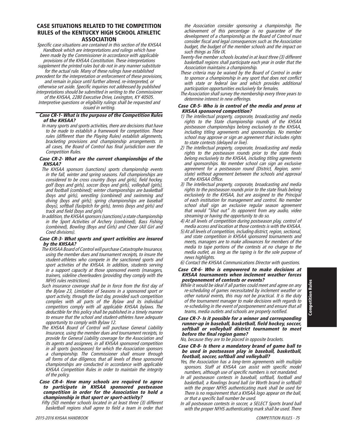### CASE SITUATIONS RELATED TO THE COMPETITION RULES of the KENTUCKY HIGH SCHOOL ATHLETIC ASSOCIATION

Specific case situations are contained in this section of the KHSAA Handbook which are interpretations and rulings which have been made by the Commissioner in accordance with applicable provisions of the KHSAA Constitution. These interpretations supplement the printed rules but do not in any manner substitute

for the actual rule. Many of these rulings have established precedent for the interpretation or enforcement of these provisions, and remain in place until further altered, re-interpreted, or

otherwise set aside. Specific inquiries not addressed by published interpretations should be submitted in writing to the Commissioner

of the KHSAA, 2280 Executive Drive, Lexington, KY 40505. Interpretive questions or eligibility rulings shall be requested and

issued in writing.

### Case CR-1- What is the purpose of the Competition Rules of the KHSAA?

In many sports and sports activities, there are decisions that have to be made to establish a framework for competition. These rules (different than the Playing Rules) establish alignments, bracketing provisions and championship arrangements. In all cases, the Board of Control has final jurisdiction over the Competition Rules.

### Case CR-2- What are the current championships of the KHSAA?

- The KHSAA sponsors (sanctions) sports championship events in the fall, winter and spring seasons. Fall championships are considered to be cross country (boys and girls), field hockey, golf (boys and girls), soccer (boys and girls), volleyball (girls), and football (combined); winter championships are basketball (boys and girls), wrestling (combined) and swimming and diving (boys and girls); spring championships are baseball (boys), softball (fastpitch for girls), tennis (boys and girls) and track and field (boys and girls)
- In addition, the KHSAA sponsors (sanctions) a state championship in the Sport Activities of Archery (combined), Bass Fishing (combined), Bowling (Boys and Girls) and Cheer (All Girl and Coed divisions).

### Case CR-3- What sports and sport activities are insured by the KHSAA?

- The KHSAA Board of Control will purchase Catastrophe Insurance, using the member dues and tournament receipts, to insure the student-athletes who compete in the sanctioned sports and sport activities of the KHSAA. In addition, students serving in a support capacity at those sponsored events (managers, trainers, sideline cheerleaders (providing they comply with the NFHS rules restrictions).
- Such insurance coverage shall be in force from the first day of the Bylaw 23, Limitation of Seasons in a sponsored sport or sport activity, through the last day, provided such competition complies with all parts of the Bylaw and its individual competitors comply with all applicable KHSAA bylaws. The deductible for this policy shall be published in a timely manner to ensure that the school and student-athletes have adequate opportunity to comply with Bylaw 12.
- The KHSAA Board of Control will purchase General Liability Insurance, using the member dues and tournament receipts, to provide for General Liability coverage for the Association and its agents and assignees, in all KHSAA sponsored competition in all sports (postseason) for which the Association sponsors a championship. The Commissioner shall ensure through all forms of due diligence, that all levels of these sponsored championships are conducted in accordance with applicable KHSAA Competition Rules in order to maintain the integrity of the policy.

### Case CR-4- How many schools are required to agree to participate in KHSAA sponsored postseason competition in order for the Association to hold a championship in that sport or sport-activity?

Fifty (50) member schools located in at least three (3) different basketball regions shall agree to field a team in order that

- Twenty-five member schools located in at least three (3) different basketball regions shall participate each year in order that the Association maintains a championship.
- These criteria may be waived by the Board of Control in order to sponsor a championship in any sport that does not conflict with state or federal law and which provides additional participation opportunities exclusively for females.
- The Association shall survey the membership every three years to determine interest in new offerings.

#### Case CR-5- Who is in control of the media and press at KHSAA sponsored competition?

- 1) The intellectual property, corporate, broadcasting and media rights to the State championship rounds of the KHSAA postseason championships belong exclusively to the KHSAA, including titling agreements and sponsorships. No member school may approve or sign an agreement that includes rights to state contests (delayed or live).
- 2) The intellectual property, corporate, broadcasting and media rights to the postseason rounds prior to the state finals belong exclusively to the KHSAA, including titling agreements and sponsorships. No member school can sign an exclusive agreement for a postseason round (District, Region, semistate) without agreement between the schools and approval of the KHSAA Office.
- 3) The intellectual property, corporate, broadcasting and media rights to the postseason rounds prior to the state finals belong exclusively to the KHSAA, but are assigned to the Principal of each institution for management and control. No member school shall sign an exclusive regular season agreement that would "Shut out" its opponent from any audio, video streaming or having the opportunity to do so.
- 4) At all levels of competition during postseason play, control of media access and location at those contests is with the KHSAA.
- 5) At all levels of competition, including district, region, sectional, and state competition in KHSAA sponsored tournaments and meets, managers are to make allowances for members of the media to tape portions of the contests at no charge to the media outlet, as long as the taping is for the sole purpose of news highlights.

6) Contact the KHSAA Communications Director with questions.

### Case CR-6- Who is empowered to make decisions at KHSAA tournaments when inclement weather forces postponement of contests or events?

While it would be ideal if all parties could meet and agree on any re-scheduling of games necessitated by inclement weather or other natural events, this may not be practical. It is the duty of the tournament manager to make decisions with regards to re-scheduling in the event of postponement and ensure that all teams, media outlets and schools are properly notified.

### Case CR-7- Is it possible for a winner and corresponding runner-up in baseball, basketball, field hockey, soccer, softball or volleyball district tournament to meet before the final region game?

No, because they are to be placed in opposite brackets.

#### Case CR-8- Is there a mandatory brand of game ball to be used in postseason play in baseball, basketball, football, soccer, softball and volleyball?

- Yes, the Association has a long-term agreements with multiple sponsors. Staff at KHSAA can assist with specific model numbers, although use of specific numbers is not mandated.
- In all postseason contests in baseball, softball, football and basketball, a Rawlings brand ball (or Worth brand in softball) with the proper NFHS authenticating mark shall be used for There is no requirement that a KHSAA logo appear on the ball, or that a specific ball number be used.
- In all postseason contests in soccer, a SELECT Sports brand ball with the proper NFHS authenticating mark shall be used. There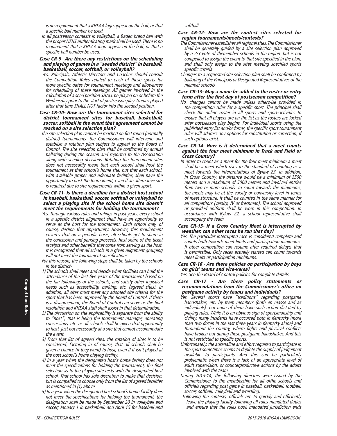is no requirement that a KHSAA logo appear on the ball, or that a specific ball number be used.

In all postseason contests in volleyball, a Baden brand ball with the proper NFHS authenticating mark shall be used. There is no requirement that a KHSAA logo appear on the ball, or that a specific ball number be used.

#### Case CR-9– Are there any restrictions on the scheduling and playing of games in a "seeded district" in baseball, basketball, soccer, softball, or volleyball?

Yes. Principals, Athletic Directors and Coaches should consult the Competition Rules related to each of these sports for more specific dates for tournament meetings and allowances for scheduling of these meetings. All games involved in the calculation of a seed position SHALL be played on or before the Wednesday prior to the start of postseason play. Games played after that time SHALL NOT factor into the seeded position.

#### Case CR-10- How are the tournament sites selected for district tournament sites for baseball, basketball, soccer, softball in the event that agreement cannot be reached on a site selection plan?

If a site selection plan cannot be reached on first round (normally district) tournaments, the Commissioner will intervene and establish a rotation plan subject to appeal to the Board of Control. The site selection plan shall be confirmed by annual balloting during the season and reported to the Association along with seeding decisions. Rotating the tournament sites does not necessarily mean that each school shall host the tournament at that school's home site, but that each school, with available proper and adequate facilities, shall have the opportunity to host the tournament, even if an alternative site is required due to site requirements within a given sport.

### Case CR-11- Is there a deadline for a district host school in baseball, basketball, soccer, softball or volleyball to select a playing site if the school home site doesn't meet the requirements for holding the tournament?

Yes. Through various rules and rulings in past years, every school in a specific district alignment shall have an opportunity to serve as the host for the tournament. Each school may, of course, decline that opportunity. However, this requirement ensures that on a periodic basis, all schools get to share in the concession and parking proceeds, host share of the ticket receipts and other benefits that come from serving as the host. It is recognized that all schools in a given alignment grouping will not meet the tournament specifications.

For this reason, the following steps shall be taken by the schools in the district-

- 1) The schools shall meet and decide what facilities can hold the attendance of the last five years of the tournament based on the fan followings of the schools, and satisfy other logistical needs such as accessibility, parking, etc. (agreed sites). In addition, all sites must meet any adopted site criteria for the sport that has been approved by the Board of Control. If there  $\ddot{i}$ s a disagreement, the Board of Control can serve as the final resolution and KHSAA staff shall assist in that determination.
- 2) The discussion on site applicability is separate from the ability to "host", that is being the tournament manager, operating concessions, etc. as all schools shall be given that opportunity to host, just not necessarily at a site that cannot accommodate the event.
- 3) From that list of agreed sites, the rotation of sites is to be considered, factoring in of course, that all schools shall be given a chance (if they want) to host, even if it isn't played at the host school's home playing facility.
- 4) In a year when the designated host's home facility does not meet the specifications for holding the tournament, the final selection as to the playing site rests with the designated host school. That school has sole discretion to make that decision, but is compelled to choose only from the list of agreed facilities as mentioned in (1) above.
- 5) In a year when the designated host school's home facility does not meet the specifications for holding the tournament, the designation shall be made by September 20 in volleyball and soccer; January 1 in basketball; and April 15 for baseball and

softball.

#### Case CR-12- How are the contest sites selected for region tournaments/meets/contests?

- The Commissioner establishes all regional sites. The Commissioner shall be generally guided by  $\overline{a}$  site selection plan approved by a 2/3 vote of themember schools in the region, but is not compelled to assign the event to that site specified in the plan, and shall only assign to the sites meeting specified sports specific criteria.
- Changes to a requested site selection plan shall be confirmed by balloting of the Principals or Designated Representatives of the member schools.

#### Case CR-13- May a name be added to the roster or entry form after the first day of postseason competition?

No, changes cannot be made unless otherwise provided in the competition rules for a specific sport. The principal shall check the online roster in all sports and sport-activities to ensure that all players are on the list as the rosters are locked after postseason play begins. For individual sports using the published entry list and/or forms, the specific sport touranment rules will address any options for substitution or correction, if such options exist.

#### Case CR-14- How is it determined that a meet counts against the four meet minimum in Track and Field or Cross Country?

- In order to count as a meet for the four meet minimum a meet shall be a meet which rises to the standard of counting as a meet towards the interpretations of Bylaw 23. In addition, in Cross Country, the distance would be a minimum of 2500 meters and a maximum of 5000 meters and involved entries from two or more schools. To count towards the minimums, the meets may be at the varsity or nonvarsity level in terms of meet structure. It shall be counted in the same manner for all competitors (varsity, JV or freshman). The school approved or provided uniform shall be worn in this competition. In accordance with Bylaw 22, a school representative shall accompany the team.
- Case CR-15- If a Cross Country Meet is interrupted by weather, can other races be run that day?
- Yes. The particular interrupted race is considered complete and counts both towards meet limits and participation minimums. If other competition can resume after required delays, that is permissible. Only races actually started can count towards meet limits or participation minimums.
- Case CR-16 Are there policies on participation by boys on girls' teams and vice-versa?

Yes. See the Board of Control policies for complete details.

- Case CR-17 Are there policy statements or recommendations from the Commissioner's offi ce on postgame activity by teams and individuals?
- Yes. Several sports have "traditions" regarding postgame handshakes, etc. by team members (both en masse and as individuals), but none of them have such action dictated by playing rules. While it is an obvious sign of sportsmanship and civility, many incidents have occurred both in Kentucky (more than two dozen in the last three years in Kentucky alone) and throughout the country, where fights and physical conflicts have broken out during these postgame handshakes. And this is not restricted to specific sports.
- Unfortunately, the adrenaline and effort required to participate in the sport sometimes seems to deplete the supply of judgement available to participants. And this can be particularly problematic when there is a lack of an appropriate level of adult supervision, or counterproductive actions by the adults involved with the team.
- During 2013-14, the following directors were issued by the Commissioner to the membership for all ofthe schools and officials regarding post game in baseball, basketball, football, soccer, softball, volleyball and wrestling:
- Following the contests, officials are to quickly and efficiently leave the playing facility following all rules mandated duties and ensure that the rules book mandated jurisdiction ends